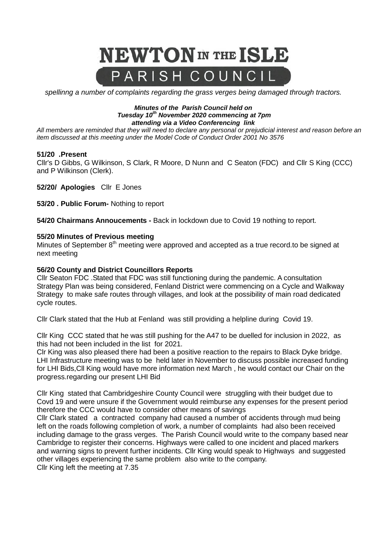

*spellinng a number of complaints regarding the grass verges being damaged through tractors.* 

#### *Minutes of the Parish Council held on Tuesday 10th November 2020 commencing at 7pm attending via a Video Conferencing link*

*All members are reminded that they will need to declare any personal or prejudicial interest and reason before an item discussed at this meeting under the Model Code of Conduct Order 2001 No 3576*

### **51/20 .Present**

Cllr's D Gibbs, G Wilkinson, S Clark, R Moore, D Nunn and C Seaton (FDC) and Cllr S King (CCC) and P Wilkinson (Clerk).

**52/20/ Apologies** Cllr E Jones

**53/20 . Public Forum-** Nothing to report

**54/20 Chairmans Annoucements -** Back in lockdown due to Covid 19 nothing to report.

#### **55/20 Minutes of Previous meeting**

Minutes of September 8<sup>th</sup> meeting were approved and accepted as a true record.to be signed at next meeting

#### **56/20 County and District Councillors Reports**

Cllr Seaton FDC .Stated that FDC was still functioning during the pandemic. A consultation Strategy Plan was being considered, Fenland District were commencing on a Cycle and Walkway Strategy to make safe routes through villages, and look at the possibility of main road dedicated cycle routes.

Cllr Clark stated that the Hub at Fenland was still providing a helpline during Covid 19.

Cllr King CCC stated that he was still pushing for the A47 to be duelled for inclusion in 2022, as this had not been included in the list for 2021.

Clr King was also pleased there had been a positive reaction to the repairs to Black Dyke bridge. LHI Infrastructure meeting was to be held later in November to discuss possible increased funding for LHI Bids,Cll King would have more information next March , he would contact our Chair on the progress.regarding our present LHI Bid

Cllr King stated that Cambridgeshire County Council were struggling with their budget due to Covd 19 and were unsure if the Government would reimburse any expenses for the present period therefore the CCC would have to consider other means of savings

Cllr Clark stated a contracted company had caused a number of accidents through mud being left on the roads following completion of work, a number of complaints had also been received including damage to the grass verges. The Parish Council would write to the company based near Cambridge to register their concerns. Highways were called to one incident and placed markers and warning signs to prevent further incidents. Cllr King would speak to Highways and suggested other villages experiencing the same problem also write to the company.

Cllr King left the meeting at 7.35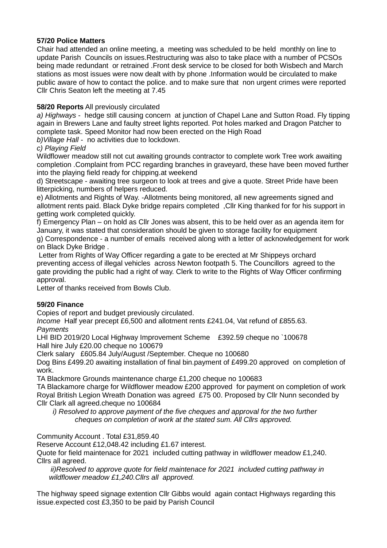## **57/20 Police Matters**

Chair had attended an online meeting, a meeting was scheduled to be held monthly on line to update Parish Councils on issues.Restructuring was also to take place with a number of PCSOs being made redundant or retrained .Front desk service to be closed for both Wisbech and March stations as most issues were now dealt with by phone .Information would be circulated to make public aware of how to contact the police. and to make sure that non urgent crimes were reported Cllr Chris Seaton left the meeting at 7.45

## **58/20 Reports** All previously circulated

*a) Highways* - hedge still causing concern at junction of Chapel Lane and Sutton Road. Fly tipping again in Brewers Lane and faulty street lights reported. Pot holes marked and Dragon Patcher to complete task. Speed Monitor had now been erected on the High Road

*b)Village Hall* - no activities due to lockdown.

## *c) Playing Field*

Wildflower meadow still not cut awaiting grounds contractor to complete work Tree work awaiting completion .Complaint from PCC regarding branches in graveyard, these have been moved further into the playing field ready for chipping.at weekend

d) Streetscape - awaiting tree surgeon to look at trees and give a quote. Street Pride have been litterpicking, numbers of helpers reduced.

e) Allotments and Rights of Way. -Allotments being monitored, all new agreements signed and allotment rents paid. Black Dyke bridge repairs completed ,Cllr King thanked for for his support in getting work completed quickly.

f) Emergency Plan – on hold as Cllr Jones was absent, this to be held over as an agenda item for January, it was stated that consideration should be given to storage facility for equipment g) Correspondence - a number of emails received along with a letter of acknowledgement for work

on Black Dyke Bridge .

Letter from Rights of Way Officer regarding a gate to be erected at Mr Shippeys orchard preventing access of illegal vehicles across Newton footpath 5. The Councillors agreed to the gate providing the public had a right of way. Clerk to write to the Rights of Way Officer confirming approval.

Letter of thanks received from Bowls Club.

# **59/20 Finance**

Copies of report and budget previously circulated.

*Income* Half year precept £6,500 and allotment rents £241.04, Vat refund of £855.63. *Payments* 

LHI BID 2019/20 Local Highway Improvement Scheme £392.59 cheque no `100678 Hall hire July £20.00 cheque no 100679

Clerk salary £605.84 July/August /September. Cheque no 100680

Dog Bins £499.20 awaiting installation of final bin.payment of £499.20 approved on completion of work.

TA Blackmore Grounds maintenance charge £1,200 cheque no 100683

TA Blackamore charge for Wildflower meadow £200 approved for payment on completion of work Royal British Legion Wreath Donation was agreed £75 00. Proposed by Cllr Nunn seconded by Cllr Clark all agreed.cheque no 100684

*i)* Resolved to approve payment of the five cheques and approval for the two further *cheques on completion of work at the stated sum. All Cllrs approved.*

Community Account . Total £31,859.40

Reserve Account £12,048.42 including £1.67 interest.

Quote for field maintenace for 2021 included cutting pathway in wildflower meadow £1,240. Cllrs all agreed.

 *ii)Resolved to approve quote for field maintenace for 2021 included cutting pathway in wildflower meadow £1,240.Cllrs all approved.*

The highway speed signage extention Cllr Gibbs would again contact Highways regarding this issue.expected cost £3,350 to be paid by Parish Council